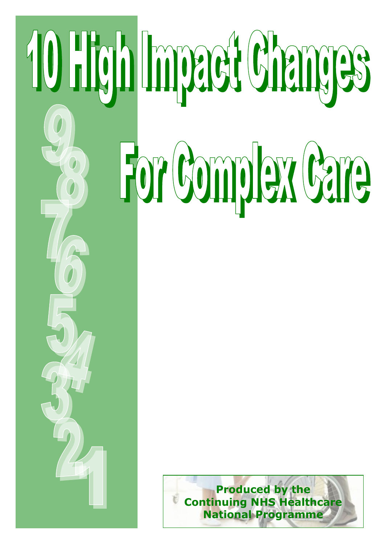# 10 High Impact Changes For Complex Care **Produced by the Continuing NHS Healthcare National Programme**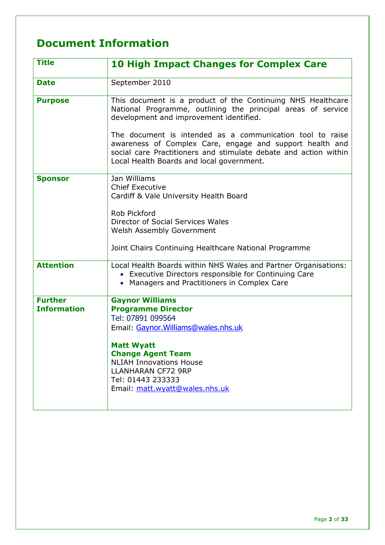# **Document Information**

| <b>Title</b>       | <b>10 High Impact Changes for Complex Care</b>                                                                                                                                                                                                                                                  |
|--------------------|-------------------------------------------------------------------------------------------------------------------------------------------------------------------------------------------------------------------------------------------------------------------------------------------------|
| <b>Date</b>        | September 2010                                                                                                                                                                                                                                                                                  |
| <b>Purpose</b>     | This document is a product of the Continuing NHS Healthcare<br>National Programme, outlining the principal areas of service<br>development and improvement identified.<br>The document is intended as a communication tool to raise<br>awareness of Complex Care, engage and support health and |
|                    | social care Practitioners and stimulate debate and action within<br>Local Health Boards and local government.                                                                                                                                                                                   |
| <b>Sponsor</b>     | Jan Williams<br><b>Chief Executive</b><br>Cardiff & Vale University Health Board                                                                                                                                                                                                                |
|                    | Rob Pickford<br>Director of Social Services Wales<br><b>Welsh Assembly Government</b>                                                                                                                                                                                                           |
|                    | Joint Chairs Continuing Healthcare National Programme                                                                                                                                                                                                                                           |
| <b>Attention</b>   | Local Health Boards within NHS Wales and Partner Organisations:<br>• Executive Directors responsible for Continuing Care<br>• Managers and Practitioners in Complex Care                                                                                                                        |
| <b>Further</b>     | <b>Gaynor Williams</b>                                                                                                                                                                                                                                                                          |
| <b>Information</b> | <b>Programme Director</b><br>Tel: 07891 099564                                                                                                                                                                                                                                                  |
|                    | Email: Gaynor. Williams@wales.nhs.uk                                                                                                                                                                                                                                                            |
|                    | <b>Matt Wyatt</b>                                                                                                                                                                                                                                                                               |
|                    | <b>Change Agent Team</b>                                                                                                                                                                                                                                                                        |
|                    | <b>NLIAH Innovations House</b><br><b>LLANHARAN CF72 9RP</b>                                                                                                                                                                                                                                     |
|                    | Tel: 01443 233333                                                                                                                                                                                                                                                                               |
|                    | Email: matt.wyatt@wales.nhs.uk                                                                                                                                                                                                                                                                  |
|                    |                                                                                                                                                                                                                                                                                                 |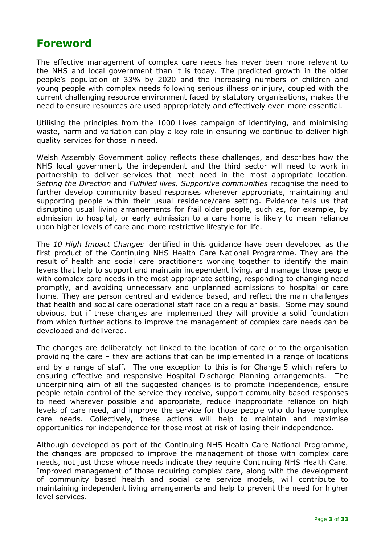## **Foreword**

The effective management of complex care needs has never been more relevant to the NHS and local government than it is today. The predicted growth in the older people's population of 33% by 2020 and the increasing numbers of children and young people with complex needs following serious illness or injury, coupled with the current challenging resource environment faced by statutory organisations, makes the need to ensure resources are used appropriately and effectively even more essential.

Utilising the principles from the 1000 Lives campaign of identifying, and minimising waste, harm and variation can play a key role in ensuring we continue to deliver high quality services for those in need.

Welsh Assembly Government policy reflects these challenges, and describes how the NHS local government, the independent and the third sector will need to work in partnership to deliver services that meet need in the most appropriate location. *Setting the Direction* and *Fulfilled lives, Supportive communities* recognise the need to further develop community based responses wherever appropriate, maintaining and supporting people within their usual residence/care setting. Evidence tells us that disrupting usual living arrangements for frail older people, such as, for example, by admission to hospital, or early admission to a care home is likely to mean reliance upon higher levels of care and more restrictive lifestyle for life.

The *10 High Impact Changes* identified in this guidance have been developed as the first product of the Continuing NHS Health Care National Programme. They are the result of health and social care practitioners working together to identify the main levers that help to support and maintain independent living, and manage those people with complex care needs in the most appropriate setting, responding to changing need promptly, and avoiding unnecessary and unplanned admissions to hospital or care home. They are person centred and evidence based, and reflect the main challenges that health and social care operational staff face on a regular basis. Some may sound obvious, but if these changes are implemented they will provide a solid foundation from which further actions to improve the management of complex care needs can be developed and delivered.

The changes are deliberately not linked to the location of care or to the organisation providing the care – they are actions that can be implemented in a range of locations and by a range of staff. The one exception to this is for Change 5 which refers to ensuring effective and responsive Hospital Discharge Planning arrangements. The underpinning aim of all the suggested changes is to promote independence, ensure people retain control of the service they receive, support community based responses to need wherever possible and appropriate, reduce inappropriate reliance on high levels of care need, and improve the service for those people who do have complex care needs. Collectively, these actions will help to maintain and maximise opportunities for independence for those most at risk of losing their independence.

Although developed as part of the Continuing NHS Health Care National Programme, the changes are proposed to improve the management of those with complex care needs, not just those whose needs indicate they require Continuing NHS Health Care. Improved management of those requiring complex care, along with the development of community based health and social care service models, will contribute to maintaining independent living arrangements and help to prevent the need for higher level services.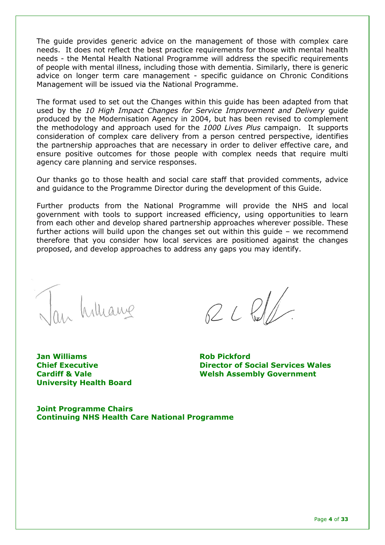The guide provides generic advice on the management of those with complex care needs. It does not reflect the best practice requirements for those with mental health needs - the Mental Health National Programme will address the specific requirements of people with mental illness, including those with dementia. Similarly, there is generic advice on longer term care management - specific guidance on Chronic Conditions Management will be issued via the National Programme.

The format used to set out the Changes within this guide has been adapted from that used by the *10 High Impact Changes for Service Improvement and Delivery* guide produced by the Modernisation Agency in 2004, but has been revised to complement the methodology and approach used for the *1000 Lives Plus* campaign. It supports consideration of complex care delivery from a person centred perspective, identifies the partnership approaches that are necessary in order to deliver effective care, and ensure positive outcomes for those people with complex needs that require multi agency care planning and service responses.

Our thanks go to those health and social care staff that provided comments, advice and guidance to the Programme Director during the development of this Guide.

Further products from the National Programme will provide the NHS and local government with tools to support increased efficiency, using opportunities to learn from each other and develop shared partnership approaches wherever possible. These further actions will build upon the changes set out within this guide – we recommend therefore that you consider how local services are positioned against the changes proposed, and develop approaches to address any gaps you may identify.

Jan Williams

 $2CGL$ 

**Jan Williams Rob Pickford University Health Board** 

**Chief Executive Director of Social Services Wales Cardiff & Vale Welsh Assembly Government** 

**Joint Programme Chairs Continuing NHS Health Care National Programme**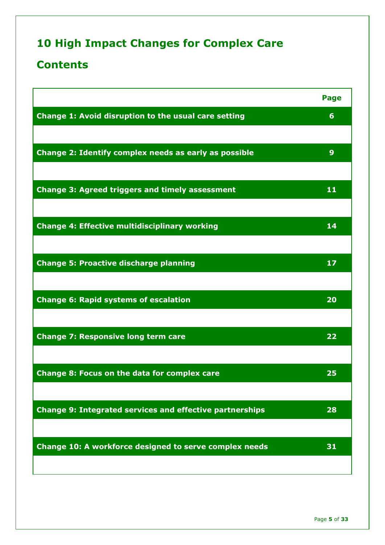# **10 High Impact Changes for Complex Care**

# **Contents**

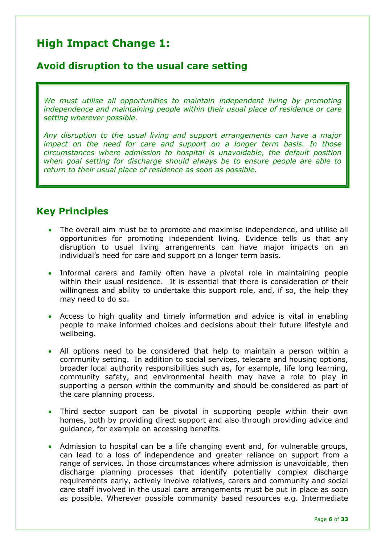# **High Impact Change 1:**

## **Avoid disruption to the usual care setting**

*We must utilise all opportunities to maintain independent living by promoting independence and maintaining people within their usual place of residence or care setting wherever possible.*

*Any disruption to the usual living and support arrangements can have a major impact on the need for care and support on a longer term basis. In those circumstances where admission to hospital is unavoidable, the default position when goal setting for discharge should always be to ensure people are able to return to their usual place of residence as soon as possible.*

- The overall aim must be to promote and maximise independence, and utilise all opportunities for promoting independent living. Evidence tells us that any disruption to usual living arrangements can have major impacts on an individual's need for care and support on a longer term basis.
- Informal carers and family often have a pivotal role in maintaining people within their usual residence. It is essential that there is consideration of their willingness and ability to undertake this support role, and, if so, the help they may need to do so.
- Access to high quality and timely information and advice is vital in enabling people to make informed choices and decisions about their future lifestyle and wellbeing.
- All options need to be considered that help to maintain a person within a community setting. In addition to social services, telecare and housing options, broader local authority responsibilities such as, for example, life long learning, community safety, and environmental health may have a role to play in supporting a person within the community and should be considered as part of the care planning process.
- Third sector support can be pivotal in supporting people within their own homes, both by providing direct support and also through providing advice and guidance, for example on accessing benefits.
- Admission to hospital can be a life changing event and, for vulnerable groups, can lead to a loss of independence and greater reliance on support from a range of services. In those circumstances where admission is unavoidable, then discharge planning processes that identify potentially complex discharge requirements early, actively involve relatives, carers and community and social care staff involved in the usual care arrangements must be put in place as soon as possible. Wherever possible community based resources e.g. Intermediate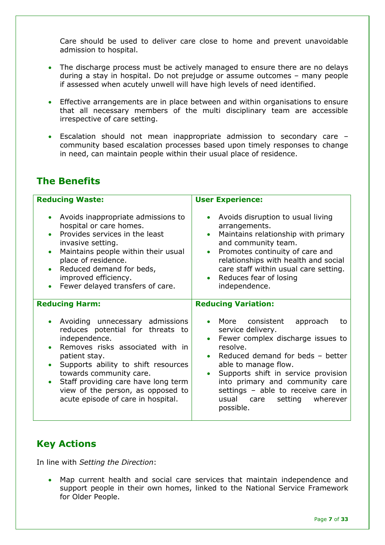Care should be used to deliver care close to home and prevent unavoidable admission to hospital.

- The discharge process must be actively managed to ensure there are no delays during a stay in hospital. Do not prejudge or assume outcomes – many people if assessed when acutely unwell will have high levels of need identified.
- Effective arrangements are in place between and within organisations to ensure that all necessary members of the multi disciplinary team are accessible irrespective of care setting.
- Escalation should not mean inappropriate admission to secondary care community based escalation processes based upon timely responses to change in need, can maintain people within their usual place of residence.

# **The Benefits**

| <b>Reducing Waste:</b>                                                                                                                                                                                                                                                                                                        | <b>User Experience:</b>                                                                                                                                                                                                                                                                                                                     |
|-------------------------------------------------------------------------------------------------------------------------------------------------------------------------------------------------------------------------------------------------------------------------------------------------------------------------------|---------------------------------------------------------------------------------------------------------------------------------------------------------------------------------------------------------------------------------------------------------------------------------------------------------------------------------------------|
| Avoids inappropriate admissions to<br>hospital or care homes.<br>Provides services in the least<br>invasive setting.<br>Maintains people within their usual<br>place of residence.<br>Reduced demand for beds,<br>improved efficiency.<br>Fewer delayed transfers of care.                                                    | Avoids disruption to usual living<br>arrangements.<br>Maintains relationship with primary<br>and community team.<br>Promotes continuity of care and<br>relationships with health and social<br>care staff within usual care setting.<br>Reduces fear of losing<br>independence.                                                             |
| <b>Reducing Harm:</b>                                                                                                                                                                                                                                                                                                         | <b>Reducing Variation:</b>                                                                                                                                                                                                                                                                                                                  |
| Avoiding unnecessary admissions<br>reduces potential for threats to<br>independence.<br>Removes risks associated with in<br>patient stay.<br>Supports ability to shift resources<br>towards community care.<br>Staff providing care have long term<br>view of the person, as opposed to<br>acute episode of care in hospital. | More<br>consistent<br>approach<br>to<br>service delivery.<br>Fewer complex discharge issues to<br>resolve.<br>Reduced demand for beds - better<br>able to manage flow.<br>Supports shift in service provision<br>into primary and community care<br>settings - able to receive care in<br>setting<br>wherever<br>usual<br>care<br>possible. |

# **Key Actions**

In line with *Setting the Direction*:

 Map current health and social care services that maintain independence and support people in their own homes, linked to the National Service Framework for Older People.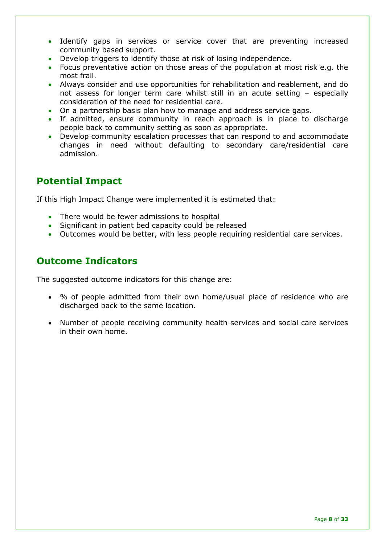- Identify gaps in services or service cover that are preventing increased community based support.
- Develop triggers to identify those at risk of losing independence.
- Focus preventative action on those areas of the population at most risk e.g. the most frail.
- Always consider and use opportunities for rehabilitation and reablement, and do not assess for longer term care whilst still in an acute setting – especially consideration of the need for residential care.
- On a partnership basis plan how to manage and address service gaps.
- If admitted, ensure community in reach approach is in place to discharge people back to community setting as soon as appropriate.
- Develop community escalation processes that can respond to and accommodate changes in need without defaulting to secondary care/residential care admission.

# **Potential Impact**

If this High Impact Change were implemented it is estimated that:

- There would be fewer admissions to hospital
- Significant in patient bed capacity could be released
- Outcomes would be better, with less people requiring residential care services.

# **Outcome Indicators**

The suggested outcome indicators for this change are:

- % of people admitted from their own home/usual place of residence who are discharged back to the same location.
- Number of people receiving community health services and social care services in their own home.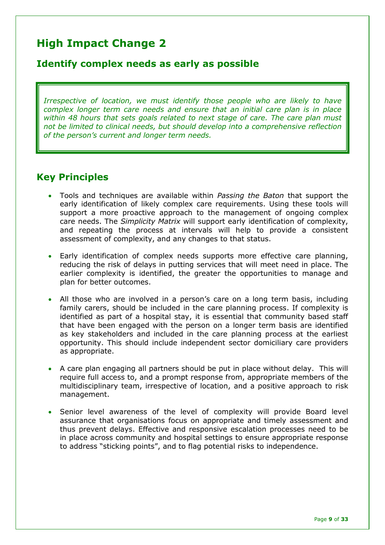# **High Impact Change 2**

#### **Identify complex needs as early as possible**

*Irrespective of location, we must identify those people who are likely to have complex longer term care needs and ensure that an initial care plan is in place within 48 hours that sets goals related to next stage of care. The care plan must not be limited to clinical needs, but should develop into a comprehensive reflection of the person's current and longer term needs.*

- Tools and techniques are available within *Passing the Baton* that support the early identification of likely complex care requirements. Using these tools will support a more proactive approach to the management of ongoing complex care needs. The *Simplicity Matrix* will support early identification of complexity, and repeating the process at intervals will help to provide a consistent assessment of complexity, and any changes to that status.
- Early identification of complex needs supports more effective care planning, reducing the risk of delays in putting services that will meet need in place. The earlier complexity is identified, the greater the opportunities to manage and plan for better outcomes.
- All those who are involved in a person's care on a long term basis, including family carers, should be included in the care planning process. If complexity is identified as part of a hospital stay, it is essential that community based staff that have been engaged with the person on a longer term basis are identified as key stakeholders and included in the care planning process at the earliest opportunity. This should include independent sector domiciliary care providers as appropriate.
- A care plan engaging all partners should be put in place without delay. This will require full access to, and a prompt response from, appropriate members of the multidisciplinary team, irrespective of location, and a positive approach to risk management.
- Senior level awareness of the level of complexity will provide Board level assurance that organisations focus on appropriate and timely assessment and thus prevent delays. Effective and responsive escalation processes need to be in place across community and hospital settings to ensure appropriate response to address "sticking points", and to flag potential risks to independence.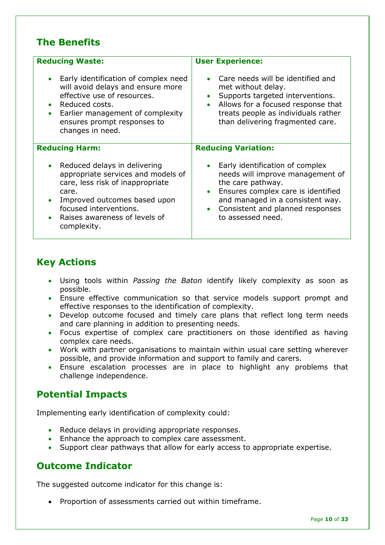# **The Benefits**

| <b>Reducing Waste:</b>               | <b>User Experience:</b>             |
|--------------------------------------|-------------------------------------|
| Early identification of complex need | Care needs will be identified and   |
| will avoid delays and ensure more    | met without delay.                  |
| effective use of resources.          | Supports targeted interventions.    |
| Reduced costs.                       | $\bullet$                           |
| Earlier management of complexity     | Allows for a focused response that  |
| $\bullet$                            | $\bullet$                           |
| ensures prompt responses to          | treats people as individuals rather |
| changes in need.                     | than delivering fragmented care.    |
| <b>Reducing Harm:</b>                | <b>Reducing Variation:</b>          |
| Reduced delays in delivering         | Early identification of complex     |
| appropriate services and models of   | needs will improve management of    |
| care, less risk of inappropriate     | the care pathway.                   |
| care.                                | Ensures complex care is identified  |
| Improved outcomes based upon         | $\bullet$                           |
| focused interventions.               | and managed in a consistent way.    |
| Raises awareness of levels of        | Consistent and planned responses    |
| complexity.                          | to assessed need.                   |

# **Key Actions**

- Using tools within *Passing the Baton* identify likely complexity as soon as possible.
- Ensure effective communication so that service models support prompt and effective responses to the identification of complexity.
- Develop outcome focused and timely care plans that reflect long term needs and care planning in addition to presenting needs.
- Focus expertise of complex care practitioners on those identified as having complex care needs.
- Work with partner organisations to maintain within usual care setting wherever possible, and provide information and support to family and carers.
- Ensure escalation processes are in place to highlight any problems that challenge independence.

# **Potential Impacts**

Implementing early identification of complexity could:

- Reduce delays in providing appropriate responses.
- Enhance the approach to complex care assessment.
- Support clear pathways that allow for early access to appropriate expertise.

#### **Outcome Indicator**

The suggested outcome indicator for this change is:

• Proportion of assessments carried out within timeframe.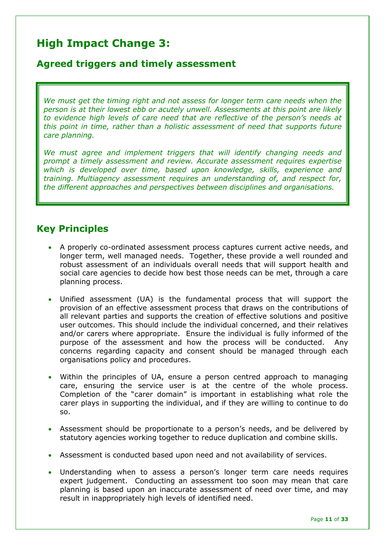# **High Impact Change 3:**

#### **Agreed triggers and timely assessment**

*We must get the timing right and not assess for longer term care needs when the person is at their lowest ebb or acutely unwell. Assessments at this point are likely to evidence high levels of care need that are reflective of the person's needs at this point in time, rather than a holistic assessment of need that supports future care planning.*

*We must agree and implement triggers that will identify changing needs and prompt a timely assessment and review. Accurate assessment requires expertise which is developed over time, based upon knowledge, skills, experience and training. Multiagency assessment requires an understanding of, and respect for, the different approaches and perspectives between disciplines and organisations.*

- A properly co-ordinated assessment process captures current active needs, and longer term, well managed needs. Together, these provide a well rounded and robust assessment of an individuals overall needs that will support health and social care agencies to decide how best those needs can be met, through a care planning process.
- Unified assessment (UA) is the fundamental process that will support the provision of an effective assessment process that draws on the contributions of all relevant parties and supports the creation of effective solutions and positive user outcomes. This should include the individual concerned, and their relatives and/or carers where appropriate. Ensure the individual is fully informed of the purpose of the assessment and how the process will be conducted. Any concerns regarding capacity and consent should be managed through each organisations policy and procedures.
- Within the principles of UA, ensure a person centred approach to managing care, ensuring the service user is at the centre of the whole process. Completion of the "carer domain" is important in establishing what role the carer plays in supporting the individual, and if they are willing to continue to do so.
- Assessment should be proportionate to a person's needs, and be delivered by statutory agencies working together to reduce duplication and combine skills.
- Assessment is conducted based upon need and not availability of services.
- Understanding when to assess a person's longer term care needs requires expert judgement. Conducting an assessment too soon may mean that care planning is based upon an inaccurate assessment of need over time, and may result in inappropriately high levels of identified need.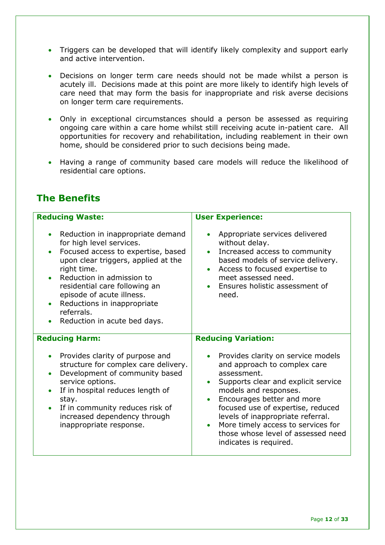- Triggers can be developed that will identify likely complexity and support early and active intervention.
- Decisions on longer term care needs should not be made whilst a person is acutely ill. Decisions made at this point are more likely to identify high levels of care need that may form the basis for inappropriate and risk averse decisions on longer term care requirements.
- Only in exceptional circumstances should a person be assessed as requiring ongoing care within a care home whilst still receiving acute in-patient care. All opportunities for recovery and rehabilitation, including reablement in their own home, should be considered prior to such decisions being made.
- Having a range of community based care models will reduce the likelihood of residential care options.

## **The Benefits**

| <b>Reducing Waste:</b>                                                                                                                                                                                                                                                                                                                                                   | <b>User Experience:</b>                                                                                                                                                                                                                                                                                                                                         |
|--------------------------------------------------------------------------------------------------------------------------------------------------------------------------------------------------------------------------------------------------------------------------------------------------------------------------------------------------------------------------|-----------------------------------------------------------------------------------------------------------------------------------------------------------------------------------------------------------------------------------------------------------------------------------------------------------------------------------------------------------------|
| Reduction in inappropriate demand<br>$\bullet$<br>for high level services.<br>Focused access to expertise, based<br>$\bullet$<br>upon clear triggers, applied at the<br>right time.<br>Reduction in admission to<br>residential care following an<br>episode of acute illness.<br>Reductions in inappropriate<br>$\bullet$<br>referrals.<br>Reduction in acute bed days. | Appropriate services delivered<br>without delay.<br>Increased access to community<br>based models of service delivery.<br>Access to focused expertise to<br>meet assessed need.<br>Ensures holistic assessment of<br>need.                                                                                                                                      |
| <b>Reducing Harm:</b>                                                                                                                                                                                                                                                                                                                                                    | <b>Reducing Variation:</b>                                                                                                                                                                                                                                                                                                                                      |
| Provides clarity of purpose and<br>structure for complex care delivery.<br>Development of community based<br>$\bullet$<br>service options.<br>If in hospital reduces length of<br>stay.<br>If in community reduces risk of<br>increased dependency through<br>inappropriate response.                                                                                    | Provides clarity on service models<br>and approach to complex care<br>assessment.<br>Supports clear and explicit service<br>models and responses.<br>Encourages better and more<br>focused use of expertise, reduced<br>levels of inappropriate referral.<br>More timely access to services for<br>those whose level of assessed need<br>indicates is required. |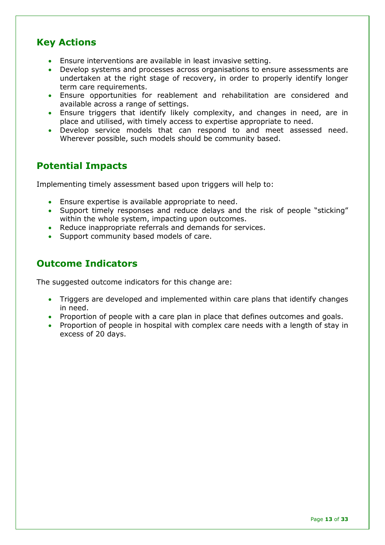# **Key Actions**

- Ensure interventions are available in least invasive setting.
- Develop systems and processes across organisations to ensure assessments are undertaken at the right stage of recovery, in order to properly identify longer term care requirements.
- Ensure opportunities for reablement and rehabilitation are considered and available across a range of settings.
- Ensure triggers that identify likely complexity, and changes in need, are in place and utilised, with timely access to expertise appropriate to need.
- Develop service models that can respond to and meet assessed need. Wherever possible, such models should be community based.

## **Potential Impacts**

Implementing timely assessment based upon triggers will help to:

- Ensure expertise is available appropriate to need.
- Support timely responses and reduce delays and the risk of people "sticking" within the whole system, impacting upon outcomes.
- Reduce inappropriate referrals and demands for services.
- Support community based models of care.

# **Outcome Indicators**

The suggested outcome indicators for this change are:

- Triggers are developed and implemented within care plans that identify changes in need.
- Proportion of people with a care plan in place that defines outcomes and goals.
- Proportion of people in hospital with complex care needs with a length of stay in excess of 20 days.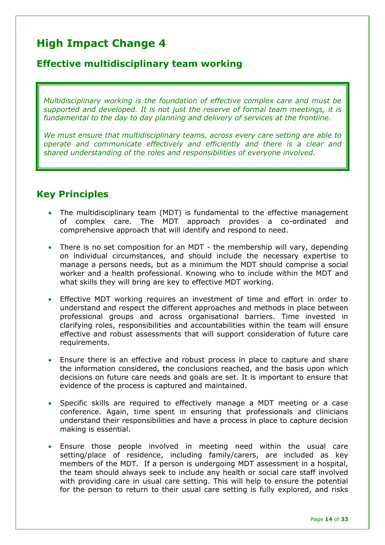# **High Impact Change 4**

#### **Effective multidisciplinary team working**

*Multidisciplinary working is the foundation of effective complex care and must be supported and developed. It is not just the reserve of formal team meetings, it is fundamental to the day to day planning and delivery of services at the frontline.*

*We must ensure that multidisciplinary teams, across every care setting are able to operate and communicate effectively and efficiently and there is a clear and shared understanding of the roles and responsibilities of everyone involved.*

- The multidisciplinary team (MDT) is fundamental to the effective management of complex care. The MDT approach provides a co-ordinated and comprehensive approach that will identify and respond to need.
- There is no set composition for an MDT the membership will vary, depending on individual circumstances, and should include the necessary expertise to manage a persons needs, but as a minimum the MDT should comprise a social worker and a health professional. Knowing who to include within the MDT and what skills they will bring are key to effective MDT working.
- Effective MDT working requires an investment of time and effort in order to understand and respect the different approaches and methods in place between professional groups and across organisational barriers. Time invested in clarifying roles, responsibilities and accountabilities within the team will ensure effective and robust assessments that will support consideration of future care requirements.
- Ensure there is an effective and robust process in place to capture and share the information considered, the conclusions reached, and the basis upon which decisions on future care needs and goals are set. It is important to ensure that evidence of the process is captured and maintained.
- Specific skills are required to effectively manage a MDT meeting or a case conference. Again, time spent in ensuring that professionals and clinicians understand their responsibilities and have a process in place to capture decision making is essential.
- Ensure those people involved in meeting need within the usual care setting/place of residence, including family/carers, are included as key members of the MDT. If a person is undergoing MDT assessment in a hospital, the team should always seek to include any health or social care staff involved with providing care in usual care setting. This will help to ensure the potential for the person to return to their usual care setting is fully explored, and risks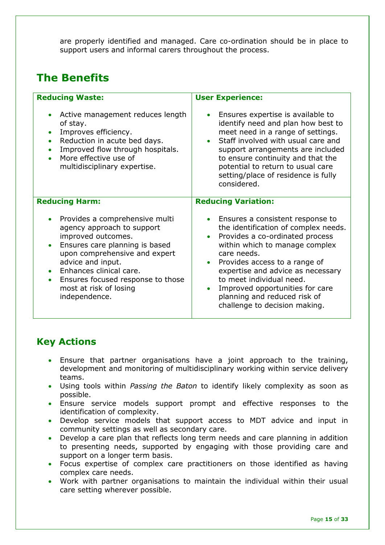are properly identified and managed. Care co-ordination should be in place to support users and informal carers throughout the process.

# **The Benefits**

| <b>Reducing Waste:</b>                                                                                                                                                                                                                                                                             | <b>User Experience:</b>                                                                                                                                                                                                                                                                                                                                            |
|----------------------------------------------------------------------------------------------------------------------------------------------------------------------------------------------------------------------------------------------------------------------------------------------------|--------------------------------------------------------------------------------------------------------------------------------------------------------------------------------------------------------------------------------------------------------------------------------------------------------------------------------------------------------------------|
| Active management reduces length<br>of stay.<br>Improves efficiency.<br>Reduction in acute bed days.<br>$\bullet$<br>Improved flow through hospitals.<br>More effective use of<br>multidisciplinary expertise.                                                                                     | Ensures expertise is available to<br>identify need and plan how best to<br>meet need in a range of settings.<br>Staff involved with usual care and<br>support arrangements are included<br>to ensure continuity and that the<br>potential to return to usual care<br>setting/place of residence is fully<br>considered.                                            |
| <b>Reducing Harm:</b>                                                                                                                                                                                                                                                                              | <b>Reducing Variation:</b>                                                                                                                                                                                                                                                                                                                                         |
| Provides a comprehensive multi<br>agency approach to support<br>improved outcomes.<br>Ensures care planning is based<br>$\bullet$<br>upon comprehensive and expert<br>advice and input.<br>Enhances clinical care.<br>Ensures focused response to those<br>most at risk of losing<br>independence. | Ensures a consistent response to<br>the identification of complex needs.<br>Provides a co-ordinated process<br>within which to manage complex<br>care needs.<br>Provides access to a range of<br>expertise and advice as necessary<br>to meet individual need.<br>Improved opportunities for care<br>planning and reduced risk of<br>challenge to decision making. |

#### **Key Actions**

- Ensure that partner organisations have a joint approach to the training, development and monitoring of multidisciplinary working within service delivery teams.
- Using tools within *Passing the Baton* to identify likely complexity as soon as possible.
- Ensure service models support prompt and effective responses to the identification of complexity.
- Develop service models that support access to MDT advice and input in community settings as well as secondary care.
- Develop a care plan that reflects long term needs and care planning in addition to presenting needs, supported by engaging with those providing care and support on a longer term basis.
- Focus expertise of complex care practitioners on those identified as having complex care needs.
- Work with partner organisations to maintain the individual within their usual care setting wherever possible.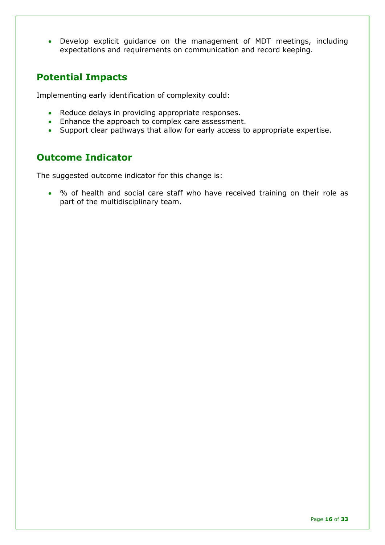Develop explicit guidance on the management of MDT meetings, including expectations and requirements on communication and record keeping.

## **Potential Impacts**

Implementing early identification of complexity could:

- Reduce delays in providing appropriate responses.
- Enhance the approach to complex care assessment.
- Support clear pathways that allow for early access to appropriate expertise.

#### **Outcome Indicator**

The suggested outcome indicator for this change is:

 % of health and social care staff who have received training on their role as part of the multidisciplinary team.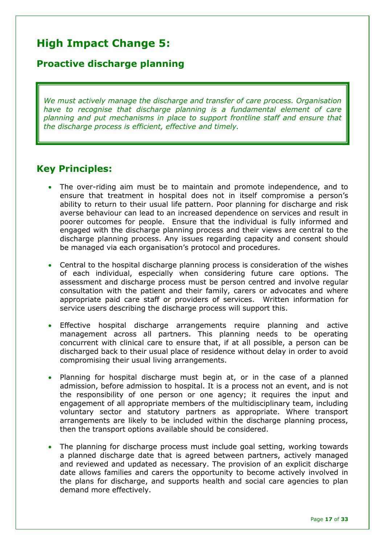# **High Impact Change 5:**

#### **Proactive discharge planning**

*We must actively manage the discharge and transfer of care process. Organisation have to recognise that discharge planning is a fundamental element of care planning and put mechanisms in place to support frontline staff and ensure that the discharge process is efficient, effective and timely.*

- The over-riding aim must be to maintain and promote independence, and to ensure that treatment in hospital does not in itself compromise a person's ability to return to their usual life pattern. Poor planning for discharge and risk averse behaviour can lead to an increased dependence on services and result in poorer outcomes for people. Ensure that the individual is fully informed and engaged with the discharge planning process and their views are central to the discharge planning process. Any issues regarding capacity and consent should be managed via each organisation's protocol and procedures.
- Central to the hospital discharge planning process is consideration of the wishes of each individual, especially when considering future care options. The assessment and discharge process must be person centred and involve regular consultation with the patient and their family, carers or advocates and where appropriate paid care staff or providers of services. Written information for service users describing the discharge process will support this.
- Effective hospital discharge arrangements require planning and active management across all partners. This planning needs to be operating concurrent with clinical care to ensure that, if at all possible, a person can be discharged back to their usual place of residence without delay in order to avoid compromising their usual living arrangements.
- Planning for hospital discharge must begin at, or in the case of a planned admission, before admission to hospital. It is a process not an event, and is not the responsibility of one person or one agency; it requires the input and engagement of all appropriate members of the multidisciplinary team, including voluntary sector and statutory partners as appropriate. Where transport arrangements are likely to be included within the discharge planning process, then the transport options available should be considered.
- The planning for discharge process must include goal setting, working towards a planned discharge date that is agreed between partners, actively managed and reviewed and updated as necessary. The provision of an explicit discharge date allows families and carers the opportunity to become actively involved in the plans for discharge, and supports health and social care agencies to plan demand more effectively.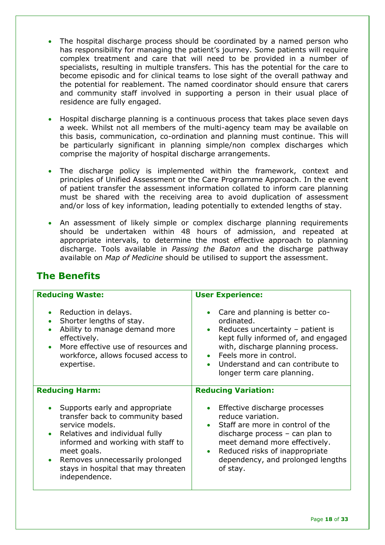- The hospital discharge process should be coordinated by a named person who has responsibility for managing the patient's journey. Some patients will require complex treatment and care that will need to be provided in a number of specialists, resulting in multiple transfers. This has the potential for the care to become episodic and for clinical teams to lose sight of the overall pathway and the potential for reablement. The named coordinator should ensure that carers and community staff involved in supporting a person in their usual place of residence are fully engaged.
- Hospital discharge planning is a continuous process that takes place seven days a week. Whilst not all members of the multi-agency team may be available on this basis, communication, co-ordination and planning must continue. This will be particularly significant in planning simple/non complex discharges which comprise the majority of hospital discharge arrangements.
- The discharge policy is implemented within the framework, context and principles of Unified Assessment or the Care Programme Approach. In the event of patient transfer the assessment information collated to inform care planning must be shared with the receiving area to avoid duplication of assessment and/or loss of key information, leading potentially to extended lengths of stay.
- An assessment of likely simple or complex discharge planning requirements should be undertaken within 48 hours of admission, and repeated at appropriate intervals, to determine the most effective approach to planning discharge. Tools available in *Passing the Baton* and the discharge pathway available on *Map of Medicine* should be utilised to support the assessment.

| <b>Reducing Waste:</b>                                                                                                                                                                                                                                                  | <b>User Experience:</b>                                                                                                                                                                                                                                       |
|-------------------------------------------------------------------------------------------------------------------------------------------------------------------------------------------------------------------------------------------------------------------------|---------------------------------------------------------------------------------------------------------------------------------------------------------------------------------------------------------------------------------------------------------------|
| Reduction in delays.<br>Shorter lengths of stay.<br>$\bullet$<br>Ability to manage demand more<br>effectively.<br>More effective use of resources and<br>workforce, allows focused access to<br>expertise.                                                              | Care and planning is better co-<br>ordinated.<br>Reduces uncertainty $-$ patient is<br>kept fully informed of, and engaged<br>with, discharge planning process.<br>• Feels more in control.<br>Understand and can contribute to<br>longer term care planning. |
| <b>Reducing Harm:</b>                                                                                                                                                                                                                                                   | <b>Reducing Variation:</b>                                                                                                                                                                                                                                    |
| Supports early and appropriate<br>transfer back to community based<br>service models.<br>Relatives and individual fully<br>informed and working with staff to<br>meet goals.<br>Removes unnecessarily prolonged<br>stays in hospital that may threaten<br>independence. | Effective discharge processes<br>reduce variation.<br>Staff are more in control of the<br>discharge process $-$ can plan to<br>meet demand more effectively.<br>Reduced risks of inappropriate<br>dependency, and prolonged lengths<br>of stay.               |

# **The Benefits**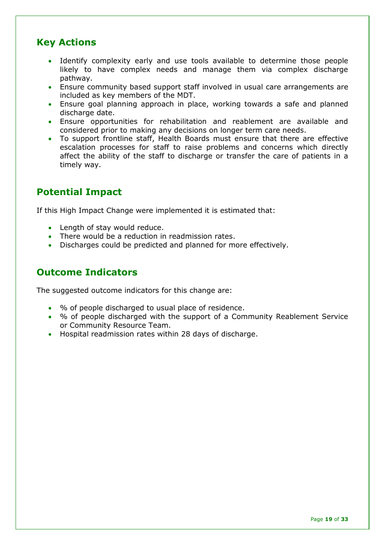# **Key Actions**

- Identify complexity early and use tools available to determine those people likely to have complex needs and manage them via complex discharge pathway.
- Ensure community based support staff involved in usual care arrangements are included as key members of the MDT.
- Ensure goal planning approach in place, working towards a safe and planned discharge date.
- Ensure opportunities for rehabilitation and reablement are available and considered prior to making any decisions on longer term care needs.
- To support frontline staff, Health Boards must ensure that there are effective escalation processes for staff to raise problems and concerns which directly affect the ability of the staff to discharge or transfer the care of patients in a timely way.

# **Potential Impact**

If this High Impact Change were implemented it is estimated that:

- Length of stay would reduce.
- There would be a reduction in readmission rates.
- Discharges could be predicted and planned for more effectively.

## **Outcome Indicators**

The suggested outcome indicators for this change are:

- % of people discharged to usual place of residence.
- % of people discharged with the support of a Community Reablement Service or Community Resource Team.
- Hospital readmission rates within 28 days of discharge.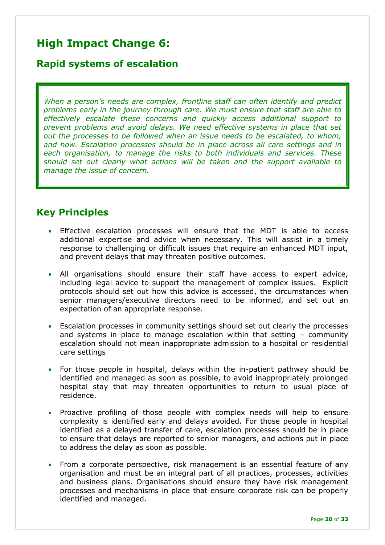# **High Impact Change 6:**

#### **Rapid systems of escalation**

*When a person's needs are complex, frontline staff can often identify and predict problems early in the journey through care. We must ensure that staff are able to effectively escalate these concerns and quickly access additional support to*  prevent problems and avoid delays. We need effective systems in place that set *out the processes to be followed when an issue needs to be escalated, to whom,*  and how. Escalation processes should be in place across all care settings and in *each organisation, to manage the risks to both individuals and services. These should set out clearly what actions will be taken and the support available to manage the issue of concern.*

- Effective escalation processes will ensure that the MDT is able to access additional expertise and advice when necessary. This will assist in a timely response to challenging or difficult issues that require an enhanced MDT input, and prevent delays that may threaten positive outcomes.
- All organisations should ensure their staff have access to expert advice, including legal advice to support the management of complex issues. Explicit protocols should set out how this advice is accessed, the circumstances when senior managers/executive directors need to be informed, and set out an expectation of an appropriate response.
- Escalation processes in community settings should set out clearly the processes and systems in place to manage escalation within that setting – community escalation should not mean inappropriate admission to a hospital or residential care settings
- For those people in hospital, delays within the in-patient pathway should be identified and managed as soon as possible, to avoid inappropriately prolonged hospital stay that may threaten opportunities to return to usual place of residence.
- Proactive profiling of those people with complex needs will help to ensure complexity is identified early and delays avoided. For those people in hospital identified as a delayed transfer of care, escalation processes should be in place to ensure that delays are reported to senior managers, and actions put in place to address the delay as soon as possible.
- From a corporate perspective, risk management is an essential feature of any organisation and must be an integral part of all practices, processes, activities and business plans. Organisations should ensure they have risk management processes and mechanisms in place that ensure corporate risk can be properly identified and managed.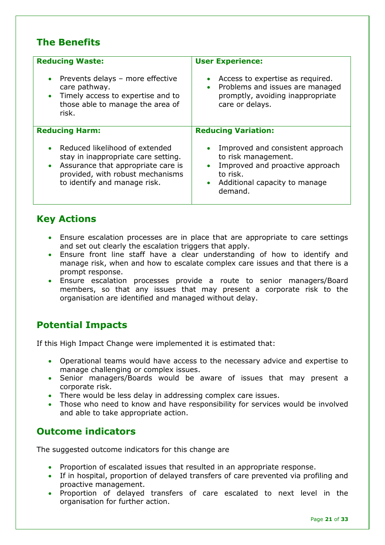# **The Benefits**

| <b>Reducing Waste:</b><br>Prevents delays - more effective<br>$\bullet$<br>care pathway.<br>Timely access to expertise and to<br>$\bullet$<br>those able to manage the area of<br>risk.                                            | <b>User Experience:</b><br>Access to expertise as required.<br>• Problems and issues are managed<br>promptly, avoiding inappropriate<br>care or delays.                            |
|------------------------------------------------------------------------------------------------------------------------------------------------------------------------------------------------------------------------------------|------------------------------------------------------------------------------------------------------------------------------------------------------------------------------------|
| <b>Reducing Harm:</b><br>Reduced likelihood of extended<br>$\bullet$<br>stay in inappropriate care setting.<br>Assurance that appropriate care is<br>$\bullet$<br>provided, with robust mechanisms<br>to identify and manage risk. | <b>Reducing Variation:</b><br>Improved and consistent approach<br>to risk management.<br>Improved and proactive approach<br>to risk.<br>• Additional capacity to manage<br>demand. |

# **Key Actions**

- Ensure escalation processes are in place that are appropriate to care settings and set out clearly the escalation triggers that apply.
- Ensure front line staff have a clear understanding of how to identify and manage risk, when and how to escalate complex care issues and that there is a prompt response.
- Ensure escalation processes provide a route to senior managers/Board members, so that any issues that may present a corporate risk to the organisation are identified and managed without delay.

# **Potential Impacts**

If this High Impact Change were implemented it is estimated that:

- Operational teams would have access to the necessary advice and expertise to manage challenging or complex issues.
- Senior managers/Boards would be aware of issues that may present a corporate risk.
- There would be less delay in addressing complex care issues.
- Those who need to know and have responsibility for services would be involved and able to take appropriate action.

# **Outcome indicators**

The suggested outcome indicators for this change are

- Proportion of escalated issues that resulted in an appropriate response.
- If in hospital, proportion of delayed transfers of care prevented via profiling and proactive management.
- Proportion of delayed transfers of care escalated to next level in the organisation for further action.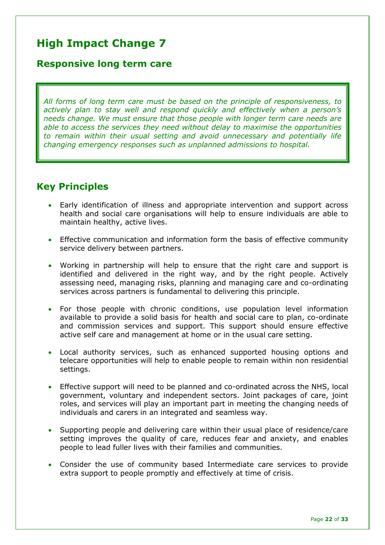# **High Impact Change 7**

#### **Responsive long term care**

*All forms of long term care must be based on the principle of responsiveness, to actively plan to stay well and respond quickly and effectively when a person's needs change. We must ensure that those people with longer term care needs are able to access the services they need without delay to maximise the opportunities to remain within their usual setting and avoid unnecessary and potentially life changing emergency responses such as unplanned admissions to hospital.*

- Early identification of illness and appropriate intervention and support across health and social care organisations will help to ensure individuals are able to maintain healthy, active lives.
- Effective communication and information form the basis of effective community service delivery between partners.
- Working in partnership will help to ensure that the right care and support is identified and delivered in the right way, and by the right people. Actively assessing need, managing risks, planning and managing care and co-ordinating services across partners is fundamental to delivering this principle.
- For those people with chronic conditions, use population level information available to provide a solid basis for health and social care to plan, co-ordinate and commission services and support. This support should ensure effective active self care and management at home or in the usual care setting.
- Local authority services, such as enhanced supported housing options and telecare opportunities will help to enable people to remain within non residential settings.
- Effective support will need to be planned and co-ordinated across the NHS, local government, voluntary and independent sectors. Joint packages of care, joint roles, and services will play an important part in meeting the changing needs of individuals and carers in an integrated and seamless way.
- Supporting people and delivering care within their usual place of residence/care setting improves the quality of care, reduces fear and anxiety, and enables people to lead fuller lives with their families and communities.
- Consider the use of community based Intermediate care services to provide extra support to people promptly and effectively at time of crisis.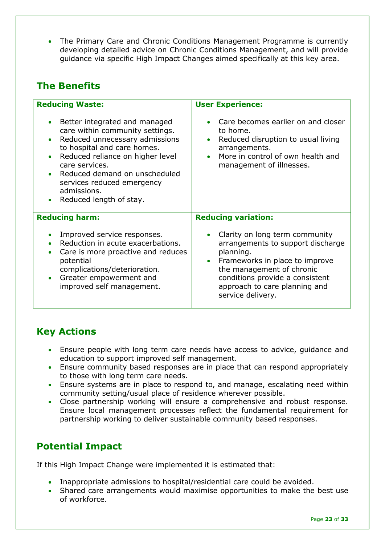The Primary Care and Chronic Conditions Management Programme is currently developing detailed advice on Chronic Conditions Management, and will provide guidance via specific High Impact Changes aimed specifically at this key area.

# **The Benefits**

| <b>Reducing Waste:</b>                                                                                                                                                                                                                                                                           | <b>User Experience:</b>                                                                                                                                                                                                                  |
|--------------------------------------------------------------------------------------------------------------------------------------------------------------------------------------------------------------------------------------------------------------------------------------------------|------------------------------------------------------------------------------------------------------------------------------------------------------------------------------------------------------------------------------------------|
| Better integrated and managed<br>care within community settings.<br>Reduced unnecessary admissions<br>to hospital and care homes.<br>Reduced reliance on higher level<br>care services.<br>Reduced demand on unscheduled<br>services reduced emergency<br>admissions.<br>Reduced length of stay. | Care becomes earlier on and closer<br>to home.<br>Reduced disruption to usual living<br>arrangements.<br>More in control of own health and<br>management of illnesses.                                                                   |
| <b>Reducing harm:</b>                                                                                                                                                                                                                                                                            | <b>Reducing variation:</b>                                                                                                                                                                                                               |
| Improved service responses.<br>Reduction in acute exacerbations.<br>Care is more proactive and reduces<br>potential<br>complications/deterioration.<br>Greater empowerment and<br>improved self management.                                                                                      | Clarity on long term community<br>arrangements to support discharge<br>planning.<br>Frameworks in place to improve<br>the management of chronic<br>conditions provide a consistent<br>approach to care planning and<br>service delivery. |

# **Key Actions**

- Ensure people with long term care needs have access to advice, guidance and education to support improved self management.
- Ensure community based responses are in place that can respond appropriately to those with long term care needs.
- Ensure systems are in place to respond to, and manage, escalating need within community setting/usual place of residence wherever possible.
- Close partnership working will ensure a comprehensive and robust response. Ensure local management processes reflect the fundamental requirement for partnership working to deliver sustainable community based responses.

# **Potential Impact**

If this High Impact Change were implemented it is estimated that:

- Inappropriate admissions to hospital/residential care could be avoided.
- Shared care arrangements would maximise opportunities to make the best use of workforce.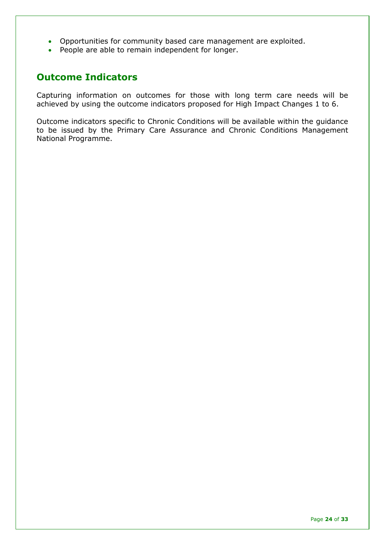- Opportunities for community based care management are exploited.
- People are able to remain independent for longer.

# **Outcome Indicators**

Capturing information on outcomes for those with long term care needs will be achieved by using the outcome indicators proposed for High Impact Changes 1 to 6.

Outcome indicators specific to Chronic Conditions will be available within the guidance to be issued by the Primary Care Assurance and Chronic Conditions Management National Programme.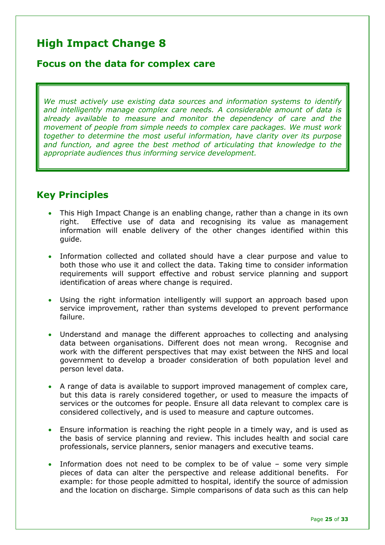# **High Impact Change 8**

#### **Focus on the data for complex care**

*We must actively use existing data sources and information systems to identify and intelligently manage complex care needs. A considerable amount of data is already available to measure and monitor the dependency of care and the movement of people from simple needs to complex care packages. We must work together to determine the most useful information, have clarity over its purpose and function, and agree the best method of articulating that knowledge to the appropriate audiences thus informing service development.*

- This High Impact Change is an enabling change, rather than a change in its own right. Effective use of data and recognising its value as management information will enable delivery of the other changes identified within this guide.
- Information collected and collated should have a clear purpose and value to both those who use it and collect the data. Taking time to consider information requirements will support effective and robust service planning and support identification of areas where change is required.
- Using the right information intelligently will support an approach based upon service improvement, rather than systems developed to prevent performance failure.
- Understand and manage the different approaches to collecting and analysing data between organisations. Different does not mean wrong. Recognise and work with the different perspectives that may exist between the NHS and local government to develop a broader consideration of both population level and person level data.
- A range of data is available to support improved management of complex care, but this data is rarely considered together, or used to measure the impacts of services or the outcomes for people. Ensure all data relevant to complex care is considered collectively, and is used to measure and capture outcomes.
- Ensure information is reaching the right people in a timely way, and is used as the basis of service planning and review. This includes health and social care professionals, service planners, senior managers and executive teams.
- Information does not need to be complex to be of value some very simple pieces of data can alter the perspective and release additional benefits. For example: for those people admitted to hospital, identify the source of admission and the location on discharge. Simple comparisons of data such as this can help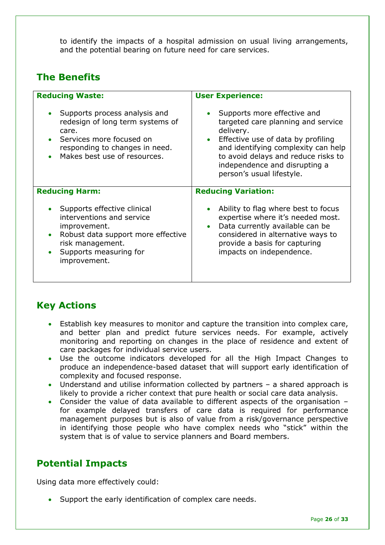to identify the impacts of a hospital admission on usual living arrangements, and the potential bearing on future need for care services.

# **The Benefits**

| <b>Reducing Waste:</b>                                                                                                                                                       | <b>User Experience:</b>                                                                                                                                                                                                                                                       |
|------------------------------------------------------------------------------------------------------------------------------------------------------------------------------|-------------------------------------------------------------------------------------------------------------------------------------------------------------------------------------------------------------------------------------------------------------------------------|
| Supports process analysis and<br>redesign of long term systems of<br>care.<br>Services more focused on<br>responding to changes in need.<br>Makes best use of resources.     | Supports more effective and<br>targeted care planning and service<br>delivery.<br>Effective use of data by profiling<br>$\bullet$<br>and identifying complexity can help<br>to avoid delays and reduce risks to<br>independence and disrupting a<br>person's usual lifestyle. |
| <b>Reducing Harm:</b>                                                                                                                                                        | <b>Reducing Variation:</b>                                                                                                                                                                                                                                                    |
| Supports effective clinical<br>interventions and service<br>improvement.<br>Robust data support more effective<br>risk management.<br>Supports measuring for<br>improvement. | Ability to flag where best to focus<br>expertise where it's needed most.<br>Data currently available can be<br>$\bullet$<br>considered in alternative ways to<br>provide a basis for capturing<br>impacts on independence.                                                    |

# **Key Actions**

- Establish key measures to monitor and capture the transition into complex care, and better plan and predict future services needs. For example, actively monitoring and reporting on changes in the place of residence and extent of care packages for individual service users.
- Use the outcome indicators developed for all the High Impact Changes to produce an independence-based dataset that will support early identification of complexity and focused response.
- Understand and utilise information collected by partners a shared approach is likely to provide a richer context that pure health or social care data analysis.
- Consider the value of data available to different aspects of the organisation for example delayed transfers of care data is required for performance management purposes but is also of value from a risk/governance perspective in identifying those people who have complex needs who "stick" within the system that is of value to service planners and Board members.

#### **Potential Impacts**

Using data more effectively could:

Support the early identification of complex care needs.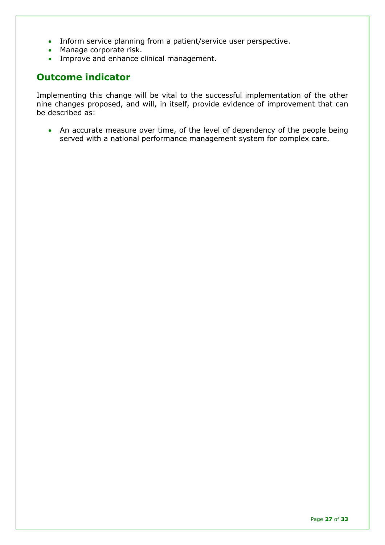- Inform service planning from a patient/service user perspective.
- Manage corporate risk.
- Improve and enhance clinical management.

# **Outcome indicator**

Implementing this change will be vital to the successful implementation of the other nine changes proposed, and will, in itself, provide evidence of improvement that can be described as:

 An accurate measure over time, of the level of dependency of the people being served with a national performance management system for complex care.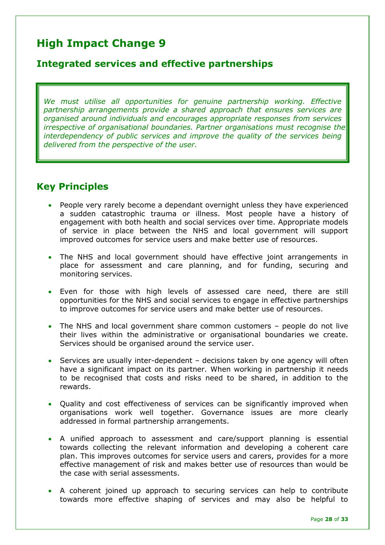# **High Impact Change 9**

#### **Integrated services and effective partnerships**

We must utilise all opportunities for genuine partnership working. Effective *partnership arrangements provide a shared approach that ensures services are organised around individuals and encourages appropriate responses from services irrespective of organisational boundaries. Partner organisations must recognise the interdependency of public services and improve the quality of the services being delivered from the perspective of the user.*

- People very rarely become a dependant overnight unless they have experienced a sudden catastrophic trauma or illness. Most people have a history of engagement with both health and social services over time. Appropriate models of service in place between the NHS and local government will support improved outcomes for service users and make better use of resources.
- The NHS and local government should have effective joint arrangements in place for assessment and care planning, and for funding, securing and monitoring services.
- Even for those with high levels of assessed care need, there are still opportunities for the NHS and social services to engage in effective partnerships to improve outcomes for service users and make better use of resources.
- The NHS and local government share common customers people do not live their lives within the administrative or organisational boundaries we create. Services should be organised around the service user.
- Services are usually inter-dependent decisions taken by one agency will often have a significant impact on its partner. When working in partnership it needs to be recognised that costs and risks need to be shared, in addition to the rewards.
- Quality and cost effectiveness of services can be significantly improved when organisations work well together. Governance issues are more clearly addressed in formal partnership arrangements.
- A unified approach to assessment and care/support planning is essential towards collecting the relevant information and developing a coherent care plan. This improves outcomes for service users and carers, provides for a more effective management of risk and makes better use of resources than would be the case with serial assessments.
- A coherent joined up approach to securing services can help to contribute towards more effective shaping of services and may also be helpful to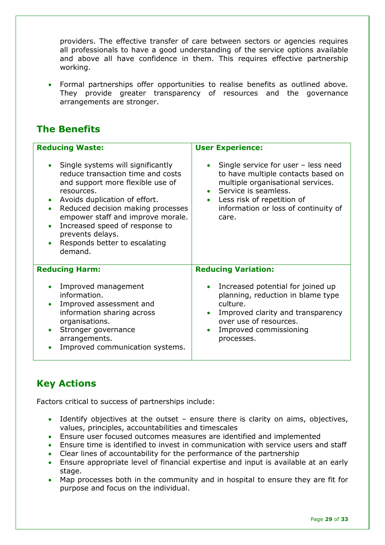providers. The effective transfer of care between sectors or agencies requires all professionals to have a good understanding of the service options available and above all have confidence in them. This requires effective partnership working.

 Formal partnerships offer opportunities to realise benefits as outlined above. They provide greater transparency of resources and the governance arrangements are stronger.

#### **The Benefits**

| <b>Reducing Waste:</b>                                                                                                                                                                                                                                                                                                                                          | <b>User Experience:</b>                                                                                                                                                                                                 |
|-----------------------------------------------------------------------------------------------------------------------------------------------------------------------------------------------------------------------------------------------------------------------------------------------------------------------------------------------------------------|-------------------------------------------------------------------------------------------------------------------------------------------------------------------------------------------------------------------------|
| Single systems will significantly<br>reduce transaction time and costs<br>and support more flexible use of<br>resources.<br>Avoids duplication of effort.<br>$\bullet$<br>Reduced decision making processes<br>$\bullet$<br>empower staff and improve morale.<br>Increased speed of response to<br>prevents delays.<br>Responds better to escalating<br>demand. | Single service for user - less need<br>to have multiple contacts based on<br>multiple organisational services.<br>• Service is seamless.<br>Less risk of repetition of<br>information or loss of continuity of<br>care. |
| <b>Reducing Harm:</b>                                                                                                                                                                                                                                                                                                                                           | <b>Reducing Variation:</b>                                                                                                                                                                                              |
| Improved management<br>information.<br>Improved assessment and<br>information sharing across<br>organisations.<br>Stronger governance<br>$\bullet$<br>arrangements.<br>Improved communication systems.                                                                                                                                                          | Increased potential for joined up<br>planning, reduction in blame type<br>culture.<br>Improved clarity and transparency<br>over use of resources.<br>Improved commissioning<br>processes.                               |

# **Key Actions**

Factors critical to success of partnerships include:

- Identify objectives at the outset ensure there is clarity on aims, objectives, values, principles, accountabilities and timescales
- Ensure user focused outcomes measures are identified and implemented
- Ensure time is identified to invest in communication with service users and staff Clear lines of accountability for the performance of the partnership
- Ensure appropriate level of financial expertise and input is available at an early stage.
- Map processes both in the community and in hospital to ensure they are fit for purpose and focus on the individual.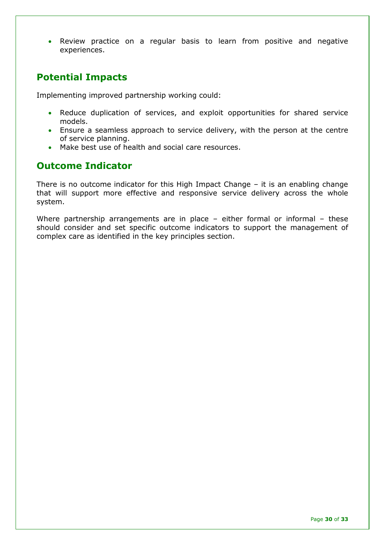• Review practice on a regular basis to learn from positive and negative experiences.

# **Potential Impacts**

Implementing improved partnership working could:

- Reduce duplication of services, and exploit opportunities for shared service models.
- Ensure a seamless approach to service delivery, with the person at the centre of service planning.
- Make best use of health and social care resources.

# **Outcome Indicator**

There is no outcome indicator for this High Impact Change – it is an enabling change that will support more effective and responsive service delivery across the whole system.

Where partnership arrangements are in place - either formal or informal - these should consider and set specific outcome indicators to support the management of complex care as identified in the key principles section.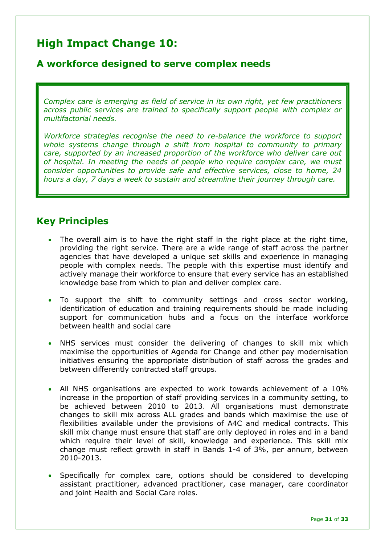# **High Impact Change 10:**

#### **A workforce designed to serve complex needs**

*Complex care is emerging as field of service in its own right, yet few practitioners*  across public services are trained to specifically support people with complex or *multifactorial needs.* 

*Workforce strategies recognise the need to re-balance the workforce to support whole systems change through a shift from hospital to community to primary care, supported by an increased proportion of the workforce who deliver care out of hospital. In meeting the needs of people who require complex care, we must consider opportunities to provide safe and effective services, close to home, 24 hours a day, 7 days a week to sustain and streamline their journey through care.*

- The overall aim is to have the right staff in the right place at the right time, providing the right service. There are a wide range of staff across the partner agencies that have developed a unique set skills and experience in managing people with complex needs. The people with this expertise must identify and actively manage their workforce to ensure that every service has an established knowledge base from which to plan and deliver complex care.
- To support the shift to community settings and cross sector working, identification of education and training requirements should be made including support for communication hubs and a focus on the interface workforce between health and social care
- NHS services must consider the delivering of changes to skill mix which maximise the opportunities of Agenda for Change and other pay modernisation initiatives ensuring the appropriate distribution of staff across the grades and between differently contracted staff groups.
- All NHS organisations are expected to work towards achievement of a 10% increase in the proportion of staff providing services in a community setting, to be achieved between 2010 to 2013. All organisations must demonstrate changes to skill mix across ALL grades and bands which maximise the use of flexibilities available under the provisions of A4C and medical contracts. This skill mix change must ensure that staff are only deployed in roles and in a band which require their level of skill, knowledge and experience. This skill mix change must reflect growth in staff in Bands 1-4 of 3%, per annum, between 2010-2013.
- Specifically for complex care, options should be considered to developing assistant practitioner, advanced practitioner, case manager, care coordinator and joint Health and Social Care roles.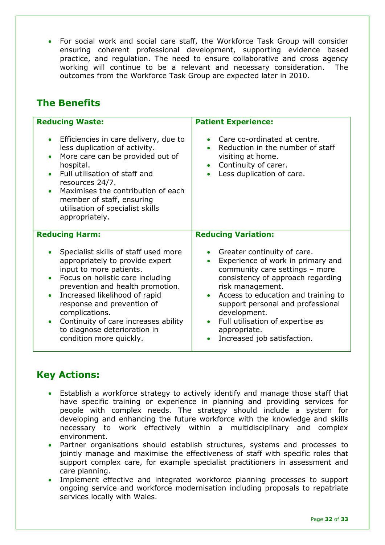For social work and social care staff, the Workforce Task Group will consider ensuring coherent professional development, supporting evidence based practice, and regulation. The need to ensure collaborative and cross agency working will continue to be a relevant and necessary consideration. The outcomes from the Workforce Task Group are expected later in 2010.

# **The Benefits**

| <b>Reducing Waste:</b>                                                                                                                                                                                                                                                                                                                                                                                | <b>Patient Experience:</b>                                                                                                                                                                                                                                                                                                                 |
|-------------------------------------------------------------------------------------------------------------------------------------------------------------------------------------------------------------------------------------------------------------------------------------------------------------------------------------------------------------------------------------------------------|--------------------------------------------------------------------------------------------------------------------------------------------------------------------------------------------------------------------------------------------------------------------------------------------------------------------------------------------|
| Efficiencies in care delivery, due to<br>$\bullet$<br>less duplication of activity.<br>More care can be provided out of<br>$\bullet$<br>hospital.<br>Full utilisation of staff and<br>resources 24/7.<br>Maximises the contribution of each<br>$\bullet$<br>member of staff, ensuring<br>utilisation of specialist skills<br>appropriately.                                                           | Care co-ordinated at centre.<br>Reduction in the number of staff<br>visiting at home.<br>Continuity of carer.<br>Less duplication of care.                                                                                                                                                                                                 |
| <b>Reducing Harm:</b>                                                                                                                                                                                                                                                                                                                                                                                 | <b>Reducing Variation:</b>                                                                                                                                                                                                                                                                                                                 |
| Specialist skills of staff used more<br>appropriately to provide expert<br>input to more patients.<br>Focus on holistic care including<br>$\bullet$<br>prevention and health promotion.<br>Increased likelihood of rapid<br>$\bullet$<br>response and prevention of<br>complications.<br>Continuity of care increases ability<br>$\bullet$<br>to diagnose deterioration in<br>condition more quickly. | Greater continuity of care.<br>Experience of work in primary and<br>community care settings - more<br>consistency of approach regarding<br>risk management.<br>Access to education and training to<br>support personal and professional<br>development.<br>Full utilisation of expertise as<br>appropriate.<br>Increased job satisfaction. |

# **Key Actions:**

- Establish a workforce strategy to actively identify and manage those staff that have specific training or experience in planning and providing services for people with complex needs. The strategy should include a system for developing and enhancing the future workforce with the knowledge and skills necessary to work effectively within a multidisciplinary and complex environment.
- Partner organisations should establish structures, systems and processes to jointly manage and maximise the effectiveness of staff with specific roles that support complex care, for example specialist practitioners in assessment and care planning.
- Implement effective and integrated workforce planning processes to support ongoing service and workforce modernisation including proposals to repatriate services locally with Wales.